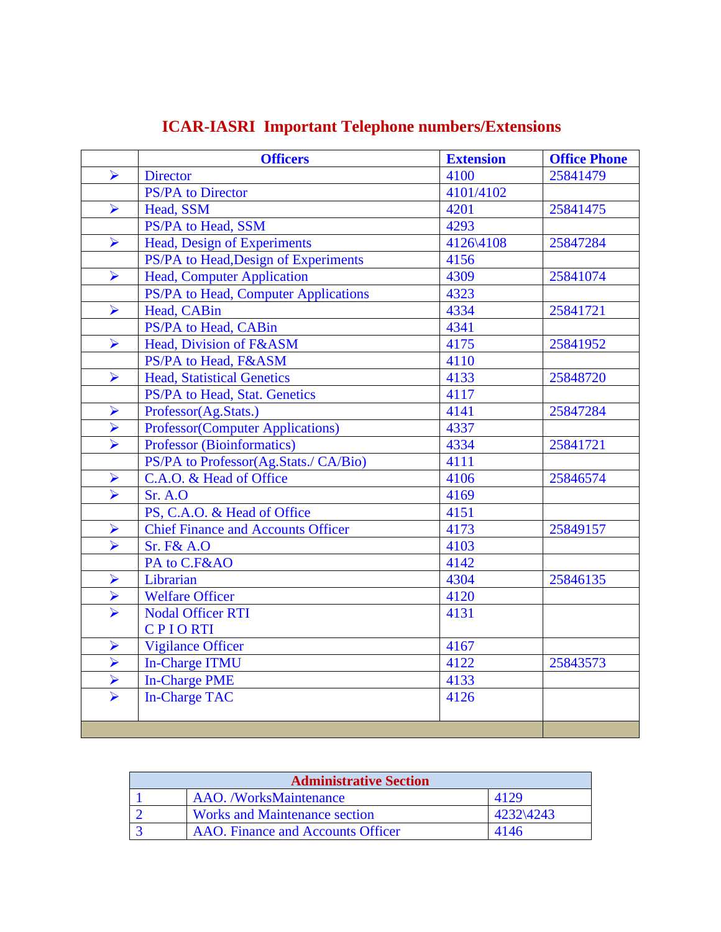|                       | <b>Officers</b>                           | <b>Extension</b> | <b>Office Phone</b> |
|-----------------------|-------------------------------------------|------------------|---------------------|
| $\blacktriangleright$ | <b>Director</b>                           | 4100             | 25841479            |
|                       | PS/PA to Director                         | 4101/4102        |                     |
| $\blacktriangleright$ | Head, SSM                                 | 4201             | 25841475            |
|                       | PS/PA to Head, SSM                        | 4293             |                     |
| $\blacktriangleright$ | Head, Design of Experiments               | 4126\4108        | 25847284            |
|                       | PS/PA to Head, Design of Experiments      | 4156             |                     |
| $\blacktriangleright$ | <b>Head, Computer Application</b>         | 4309             | 25841074            |
|                       | PS/PA to Head, Computer Applications      | 4323             |                     |
| $\blacktriangleright$ | Head, CABin                               | 4334             | 25841721            |
|                       | PS/PA to Head, CABin                      | 4341             |                     |
| $\blacktriangleright$ | Head, Division of F&ASM                   | 4175             | 25841952            |
|                       | PS/PA to Head, F&ASM                      | 4110             |                     |
| $\blacktriangleright$ | <b>Head, Statistical Genetics</b>         | 4133             | 25848720            |
|                       | PS/PA to Head, Stat. Genetics             | 4117             |                     |
| $\blacktriangleright$ | Professor(Ag.Stats.)                      | 4141             | 25847284            |
| $\blacktriangleright$ | <b>Professor(Computer Applications)</b>   | 4337             |                     |
| $\blacktriangleright$ | <b>Professor (Bioinformatics)</b>         | 4334             | 25841721            |
|                       | PS/PA to Professor(Ag.Stats./ CA/Bio)     | 4111             |                     |
| $\blacktriangleright$ | C.A.O. & Head of Office                   | 4106             | 25846574            |
| $\blacktriangleright$ | Sr. A.O                                   | 4169             |                     |
|                       | PS, C.A.O. & Head of Office               | 4151             |                     |
| $\blacktriangleright$ | <b>Chief Finance and Accounts Officer</b> | 4173             | 25849157            |
| $\blacktriangledown$  | <b>Sr. F&amp; A.O</b>                     | 4103             |                     |
|                       | PA to C.F&AO                              | 4142             |                     |
| ➤                     | Librarian                                 | 4304             | 25846135            |
| $\blacktriangleright$ | <b>Welfare Officer</b>                    | 4120             |                     |
| $\blacktriangleright$ | <b>Nodal Officer RTI</b>                  | 4131             |                     |
|                       | <b>CPIORTI</b>                            |                  |                     |
| $\blacktriangleright$ | <b>Vigilance Officer</b>                  | 4167             |                     |
| $\blacktriangleright$ | <b>In-Charge ITMU</b>                     | 4122             | 25843573            |
| $\blacktriangleright$ | <b>In-Charge PME</b>                      | 4133             |                     |
| $\blacktriangleright$ | <b>In-Charge TAC</b>                      | 4126             |                     |
|                       |                                           |                  |                     |
|                       |                                           |                  |                     |

## **ICAR-IASRI Important Telephone numbers/Extensions**

| <b>Administrative Section</b> |                                      |           |  |  |
|-------------------------------|--------------------------------------|-----------|--|--|
|                               | <b>AAO.</b> /WorksMaintenance        |           |  |  |
|                               | <b>Works and Maintenance section</b> | 4232\4243 |  |  |
|                               | AAO. Finance and Accounts Officer    | 4146      |  |  |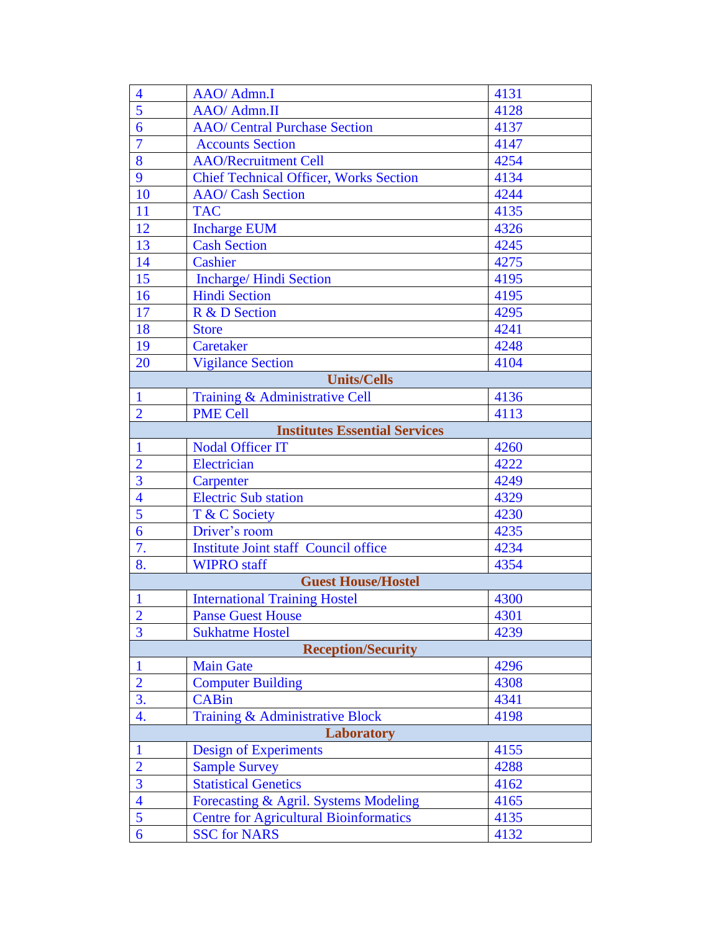| $\overline{\mathcal{A}}$             | AAO/ Admn.I                                   | 4131 |  |
|--------------------------------------|-----------------------------------------------|------|--|
| $\overline{5}$                       | AAO/ Admn.II                                  | 4128 |  |
| 6                                    | <b>AAO/</b> Central Purchase Section          | 4137 |  |
| $\overline{7}$                       | <b>Accounts Section</b>                       | 4147 |  |
| 8                                    | <b>AAO/Recruitment Cell</b>                   | 4254 |  |
| 9                                    | <b>Chief Technical Officer, Works Section</b> | 4134 |  |
| <b>10</b>                            | <b>AAO/</b> Cash Section                      | 4244 |  |
| 11                                   | <b>TAC</b>                                    | 4135 |  |
| 12                                   | <b>Incharge EUM</b>                           | 4326 |  |
| 13                                   | <b>Cash Section</b>                           | 4245 |  |
| 14                                   | Cashier                                       | 4275 |  |
| 15                                   | Incharge/ Hindi Section                       | 4195 |  |
| 16                                   | <b>Hindi Section</b>                          | 4195 |  |
| 17                                   | R & D Section                                 | 4295 |  |
| 18                                   | <b>Store</b>                                  | 4241 |  |
| 19                                   | Caretaker                                     | 4248 |  |
| 20                                   | <b>Vigilance Section</b>                      | 4104 |  |
|                                      | <b>Units/Cells</b>                            |      |  |
| $\mathbf{1}$                         | Training & Administrative Cell                | 4136 |  |
| $\overline{2}$                       | <b>PME Cell</b>                               | 4113 |  |
| <b>Institutes Essential Services</b> |                                               |      |  |
| $\mathbf{1}$                         | <b>Nodal Officer IT</b>                       | 4260 |  |
| $\overline{2}$                       | Electrician                                   | 4222 |  |
| $\overline{3}$                       | Carpenter                                     | 4249 |  |
| $\overline{4}$                       | <b>Electric Sub station</b>                   | 4329 |  |
| 5                                    | T & C Society                                 | 4230 |  |
| 6                                    | Driver's room                                 | 4235 |  |
| 7.                                   | <b>Institute Joint staff Council office</b>   | 4234 |  |
| 8.                                   | <b>WIPRO</b> staff                            | 4354 |  |
|                                      | <b>Guest House/Hostel</b>                     |      |  |
| $\mathbf{1}$                         | <b>International Training Hostel</b>          | 4300 |  |
| $\overline{2}$                       | <b>Panse Guest House</b>                      | 4301 |  |
| $\overline{3}$                       | <b>Sukhatme Hostel</b>                        | 4239 |  |
|                                      | <b>Reception/Security</b>                     |      |  |
| $\mathbf{1}$                         | <b>Main Gate</b>                              | 4296 |  |
| $\overline{2}$                       | <b>Computer Building</b>                      | 4308 |  |
| $\overline{3}$ .                     | <b>CABin</b>                                  | 4341 |  |
| 4.                                   | Training & Administrative Block               | 4198 |  |
|                                      | <b>Laboratory</b>                             |      |  |
| $\mathbf{1}$                         | Design of Experiments                         | 4155 |  |
| $\overline{2}$                       | <b>Sample Survey</b>                          | 4288 |  |
| $\overline{3}$                       | <b>Statistical Genetics</b>                   | 4162 |  |
| $\overline{4}$                       | Forecasting & Agril. Systems Modeling         | 4165 |  |
| 5                                    | <b>Centre for Agricultural Bioinformatics</b> | 4135 |  |
| 6                                    | <b>SSC for NARS</b>                           | 4132 |  |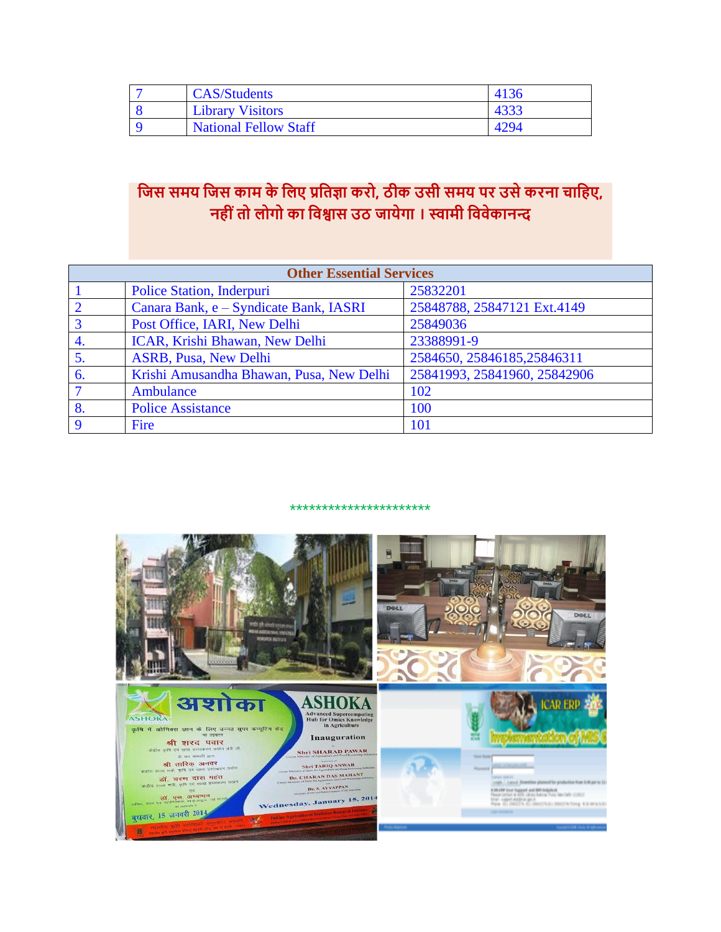| <b>CAS/Students</b>          | 4136 |
|------------------------------|------|
| <b>Library Visitors</b>      |      |
| <b>National Fellow Staff</b> | 4294 |

## **जिस समय जिस काम के जिए प्रजिज्ञा करो, ठीक उसी समय पर उसे करना चाजिए, निीीं िो िोगो का जिश्वास उठ िायेगा । स्वामी जििेकानन्द**

|             | <b>Other Essential Services</b>          |                              |  |  |  |  |
|-------------|------------------------------------------|------------------------------|--|--|--|--|
|             | <b>Police Station, Inderpuri</b>         | 25832201                     |  |  |  |  |
|             | Canara Bank, e - Syndicate Bank, IASRI   | 25848788, 25847121 Ext.4149  |  |  |  |  |
|             | Post Office, IARI, New Delhi             | 25849036                     |  |  |  |  |
| 4.          | ICAR, Krishi Bhawan, New Delhi           | 23388991-9                   |  |  |  |  |
| 5.          | <b>ASRB, Pusa, New Delhi</b>             | 2584650, 25846185, 25846311  |  |  |  |  |
| 6.          | Krishi Amusandha Bhawan, Pusa, New Delhi | 25841993, 25841960, 25842906 |  |  |  |  |
|             | Ambulance                                | 102                          |  |  |  |  |
| 8.          | <b>Police Assistance</b>                 | 100                          |  |  |  |  |
| $\mathbf Q$ | Fire                                     | 101                          |  |  |  |  |

\*\*\*\*\*\*\*\*\*\*\*\*\*\*\*\*\*\*\*\*\*\*

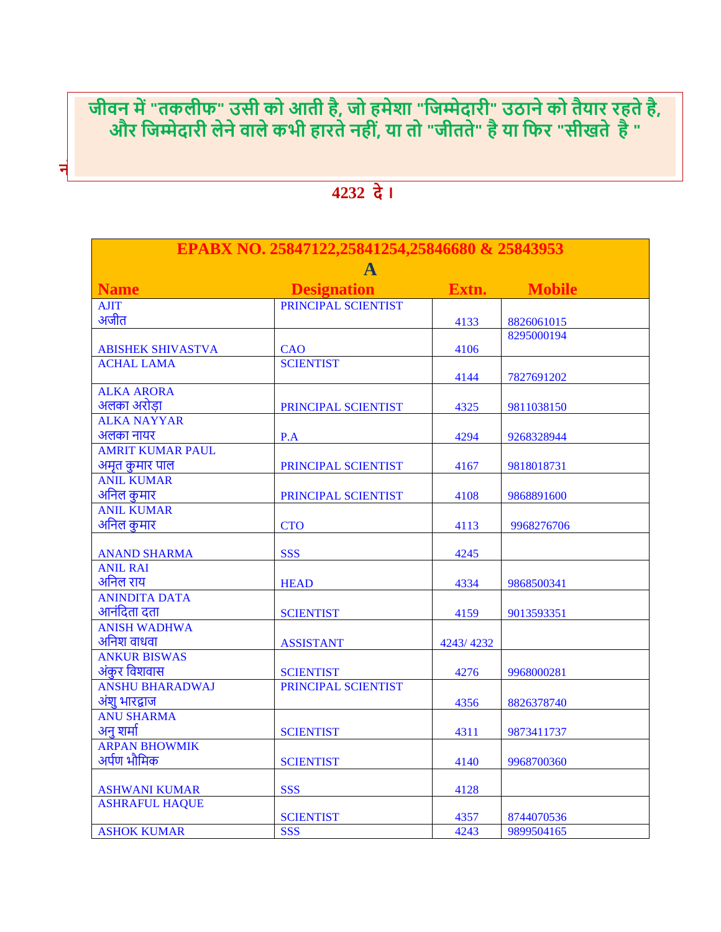**िीिन में "िकिीफ" उसी को आिी िै, िो िमेशा "जिम्मेदारी" उठाने को िैयार रििे िै,** और जिम्मेदारी लेने वाले कभी हारते नहीं, या तो "जीतते" है या फिर "सीखते है "

| EPABX NO. 25847122,25841254,25846680 & 25843953 |                     |           |               |  |
|-------------------------------------------------|---------------------|-----------|---------------|--|
| <b>Name</b>                                     | <b>Designation</b>  | Extn.     | <b>Mobile</b> |  |
| <b>AJIT</b>                                     | PRINCIPAL SCIENTIST |           |               |  |
| अजीत                                            |                     | 4133      | 8826061015    |  |
|                                                 |                     |           | 8295000194    |  |
| <b>ABISHEK SHIVASTVA</b>                        | <b>CAO</b>          | 4106      |               |  |
| <b>ACHAL LAMA</b>                               | <b>SCIENTIST</b>    |           |               |  |
|                                                 |                     | 4144      | 7827691202    |  |
| <b>ALKA ARORA</b>                               |                     |           |               |  |
| अलका अरोडा                                      | PRINCIPAL SCIENTIST | 4325      | 9811038150    |  |
| <b>ALKA NAYYAR</b>                              |                     |           |               |  |
| अलका नायर                                       | P.A                 | 4294      | 9268328944    |  |
| <b>AMRIT KUMAR PAUL</b>                         |                     |           |               |  |
| अमृत कुमार पाल                                  | PRINCIPAL SCIENTIST | 4167      | 9818018731    |  |
| <b>ANIL KUMAR</b>                               |                     |           |               |  |
| अनिल कुमार                                      | PRINCIPAL SCIENTIST | 4108      | 9868891600    |  |
| <b>ANIL KUMAR</b>                               |                     |           |               |  |
| अनिल कुमार                                      | <b>CTO</b>          | 4113      | 9968276706    |  |
|                                                 |                     |           |               |  |
| <b>ANAND SHARMA</b>                             | <b>SSS</b>          | 4245      |               |  |
| <b>ANIL RAI</b>                                 |                     |           |               |  |
| अनिल राय                                        | <b>HEAD</b>         | 4334      | 9868500341    |  |
| <b>ANINDITA DATA</b>                            |                     |           |               |  |
| आनंदिता दता                                     | <b>SCIENTIST</b>    | 4159      | 9013593351    |  |
| <b>ANISH WADHWA</b>                             |                     |           |               |  |
| अनिश वाधवा                                      | <b>ASSISTANT</b>    | 4243/4232 |               |  |
| <b>ANKUR BISWAS</b>                             |                     |           |               |  |
| अंकुर विशवास                                    | <b>SCIENTIST</b>    | 4276      | 9968000281    |  |
| <b>ANSHU BHARADWAJ</b>                          | PRINCIPAL SCIENTIST |           |               |  |
| अंशू भारद्वाज                                   |                     | 4356      | 8826378740    |  |
| <b>ANU SHARMA</b>                               |                     |           |               |  |
| अनु शर्मा                                       | <b>SCIENTIST</b>    | 4311      | 9873411737    |  |
| <b>ARPAN BHOWMIK</b>                            |                     |           |               |  |
| अर्पण भौमिक                                     | <b>SCIENTIST</b>    | 4140      | 9968700360    |  |
|                                                 |                     |           |               |  |
| <b>ASHWANI KUMAR</b>                            | <b>SSS</b>          | 4128      |               |  |
| <b>ASHRAFUL HAQUE</b>                           |                     |           |               |  |
|                                                 | <b>SCIENTIST</b>    | 4357      | 8744070536    |  |
| <b>ASHOK KUMAR</b>                              | <b>SSS</b>          | 4243      | 9899504165    |  |

## **4232 दे ।**

**नोट: एक्सटेंशन या मोबाइि नम्बर या टेिीफोन नम्बर, पररिितन की सूचना रखरखाि अनुभाग को 9 /**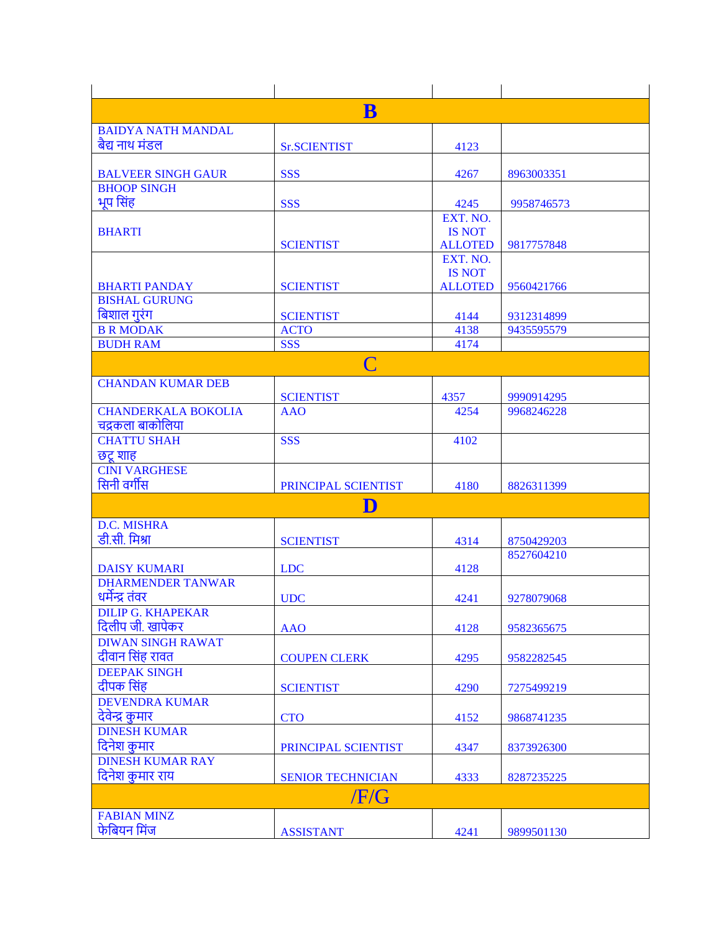|                                                 | $\bf{B}$                  |                |            |  |  |
|-------------------------------------------------|---------------------------|----------------|------------|--|--|
| <b>BAIDYA NATH MANDAL</b>                       |                           |                |            |  |  |
| बैद्य नाथ मंडल                                  | <b>Sr.SCIENTIST</b>       | 4123           |            |  |  |
|                                                 |                           |                |            |  |  |
| <b>BALVEER SINGH GAUR</b><br><b>BHOOP SINGH</b> | <b>SSS</b>                | 4267           | 8963003351 |  |  |
| भूप सिंह                                        | <b>SSS</b>                | 4245           | 9958746573 |  |  |
|                                                 |                           | EXT. NO.       |            |  |  |
| <b>BHARTI</b>                                   |                           | <b>IS NOT</b>  |            |  |  |
|                                                 | <b>SCIENTIST</b>          | <b>ALLOTED</b> | 9817757848 |  |  |
|                                                 |                           | EXT. NO.       |            |  |  |
|                                                 |                           | <b>IS NOT</b>  |            |  |  |
| <b>BHARTI PANDAY</b>                            | <b>SCIENTIST</b>          | <b>ALLOTED</b> | 9560421766 |  |  |
| <b>BISHAL GURUNG</b>                            |                           |                |            |  |  |
| बिशाल गुरंग                                     | <b>SCIENTIST</b>          | 4144           | 9312314899 |  |  |
| <b>B R MODAK</b>                                | <b>ACTO</b><br><b>SSS</b> | 4138           | 9435595579 |  |  |
| <b>BUDH RAM</b>                                 |                           | 4174           |            |  |  |
|                                                 | C                         |                |            |  |  |
| <b>CHANDAN KUMAR DEB</b>                        |                           |                |            |  |  |
|                                                 | <b>SCIENTIST</b>          | 4357           | 9990914295 |  |  |
| <b>CHANDERKALA BOKOLIA</b>                      | <b>AAO</b>                | 4254           | 9968246228 |  |  |
| चंद्रकला बाकोलिया                               |                           |                |            |  |  |
| <b>CHATTU SHAH</b>                              | <b>SSS</b>                | 4102           |            |  |  |
| छट्र शाह                                        |                           |                |            |  |  |
| <b>CINI VARGHESE</b><br>सिनी वर्गीस             |                           |                |            |  |  |
|                                                 | PRINCIPAL SCIENTIST       | 4180           | 8826311399 |  |  |
|                                                 | D                         |                |            |  |  |
| <b>D.C. MISHRA</b>                              |                           |                |            |  |  |
| डी.सी. मिश्रा                                   | <b>SCIENTIST</b>          | 4314           | 8750429203 |  |  |
|                                                 |                           |                | 8527604210 |  |  |
| <b>DAISY KUMARI</b><br><b>DHARMENDER TANWAR</b> | <b>LDC</b>                | 4128           |            |  |  |
| धर्मेन्द्र तंवर                                 | <b>UDC</b>                | 4241           | 9278079068 |  |  |
| DILIP G. KHAPEKAR                               |                           |                |            |  |  |
| दिलीप जी. खापेकर                                | <b>AAO</b>                | 4128           | 9582365675 |  |  |
| <b>DIWAN SINGH RAWAT</b>                        |                           |                |            |  |  |
| दीवान सिंह रावत                                 | <b>COUPEN CLERK</b>       | 4295           | 9582282545 |  |  |
| <b>DEEPAK SINGH</b>                             |                           |                |            |  |  |
| दीपक सिंह                                       | <b>SCIENTIST</b>          | 4290           | 7275499219 |  |  |
| <b>DEVENDRA KUMAR</b>                           |                           |                |            |  |  |
| देवेन्द्र कुमार                                 | <b>CTO</b>                | 4152           | 9868741235 |  |  |
| <b>DINESH KUMAR</b>                             |                           |                |            |  |  |
| दिनेश कुमार                                     | PRINCIPAL SCIENTIST       | 4347           | 8373926300 |  |  |
| <b>DINESH KUMAR RAY</b>                         |                           |                |            |  |  |
| दिनेश कुमार राय                                 | <b>SENIOR TECHNICIAN</b>  | 4333           | 8287235225 |  |  |
| /F/G                                            |                           |                |            |  |  |
| <b>FABIAN MINZ</b>                              |                           |                |            |  |  |
| फेबियन मिंज                                     | <b>ASSISTANT</b>          | 4241           | 9899501130 |  |  |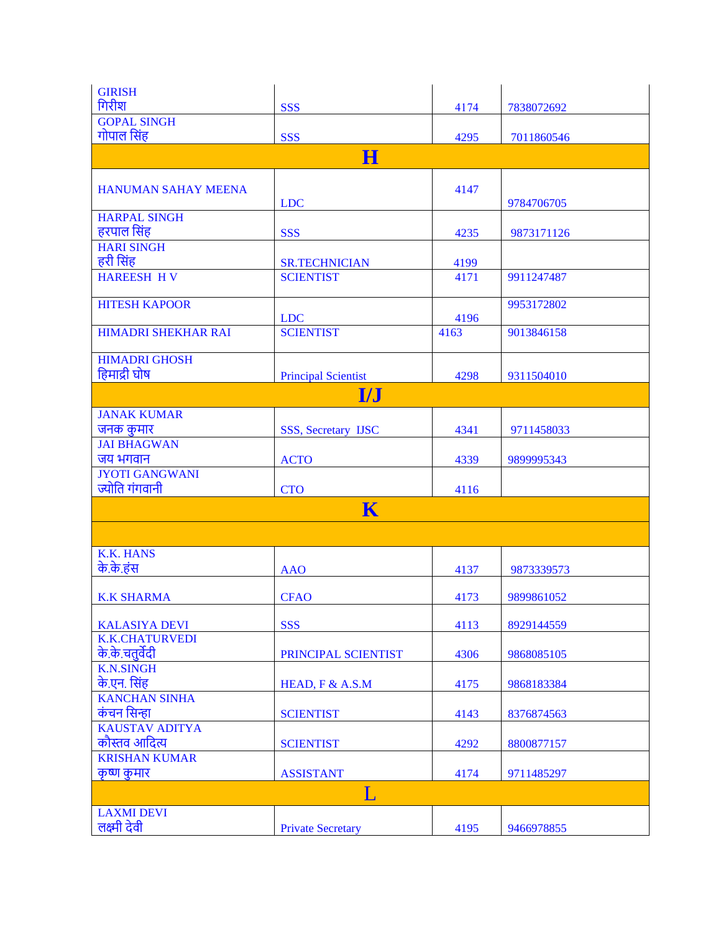| <b>GIRISH</b>                        |                            |      |            |
|--------------------------------------|----------------------------|------|------------|
| गिरीश                                | <b>SSS</b>                 | 4174 | 7838072692 |
| <b>GOPAL SINGH</b>                   |                            |      |            |
| गोपाल सिंह                           | <b>SSS</b>                 | 4295 | 7011860546 |
|                                      | н                          |      |            |
|                                      |                            |      |            |
| <b>HANUMAN SAHAY MEENA</b>           |                            | 4147 |            |
|                                      | <b>LDC</b>                 |      | 9784706705 |
| <b>HARPAL SINGH</b><br>हरपाल सिंह    |                            |      |            |
| <b>HARI SINGH</b>                    | <b>SSS</b>                 | 4235 | 9873171126 |
| हरी सिंह                             | <b>SR.TECHNICIAN</b>       | 4199 |            |
| <b>HAREESH HV</b>                    | <b>SCIENTIST</b>           | 4171 | 9911247487 |
|                                      |                            |      |            |
| <b>HITESH KAPOOR</b>                 |                            |      | 9953172802 |
|                                      | <b>LDC</b>                 | 4196 |            |
| <b>HIMADRI SHEKHAR RAI</b>           | <b>SCIENTIST</b>           | 4163 | 9013846158 |
|                                      |                            |      |            |
| <b>HIMADRI GHOSH</b><br>हिमाद्री घोष |                            |      |            |
|                                      | <b>Principal Scientist</b> | 4298 | 9311504010 |
|                                      | <b>I/J</b>                 |      |            |
| <b>JANAK KUMAR</b>                   |                            |      |            |
| जनक कुमार                            | <b>SSS, Secretary IJSC</b> | 4341 | 9711458033 |
| <b>JAI BHAGWAN</b>                   |                            |      |            |
| जय भगवान                             | <b>ACTO</b>                | 4339 | 9899995343 |
| <b>JYOTI GANGWANI</b>                |                            |      |            |
| ज्योति गंगवानी                       | <b>CTO</b>                 | 4116 |            |
|                                      | K                          |      |            |
|                                      |                            |      |            |
|                                      |                            |      |            |
| <b>K.K. HANS</b>                     |                            |      |            |
| के.के.हंस                            | <b>AAO</b>                 | 4137 | 9873339573 |
| <b>K.K SHARMA</b>                    | <b>CFAO</b>                | 4173 | 9899861052 |
|                                      |                            |      |            |
| <b>KALASIYA DEVI</b>                 | <b>SSS</b>                 | 4113 | 8929144559 |
| <b>K.K.CHATURVEDI</b>                |                            |      |            |
| के.के.चतुर्वेदी                      | PRINCIPAL SCIENTIST        | 4306 | 9868085105 |
| <b>K.N.SINGH</b>                     |                            |      |            |
| के.एन. सिंह                          | HEAD, F & A.S.M            | 4175 | 9868183384 |
| <b>KANCHAN SINHA</b>                 |                            |      |            |
| कंचन सिन्हा                          | <b>SCIENTIST</b>           | 4143 | 8376874563 |
| <b>KAUSTAV ADITYA</b>                |                            |      |            |
| कौस्तव आदित्य                        | <b>SCIENTIST</b>           | 4292 | 8800877157 |
| <b>KRISHAN KUMAR</b>                 |                            |      |            |
| कृष्ण कुमार                          | <b>ASSISTANT</b>           | 4174 | 9711485297 |
|                                      | L                          |      |            |
| <b>LAXMI DEVI</b>                    |                            |      |            |
| लक्ष्मी देवी                         | <b>Private Secretary</b>   | 4195 | 9466978855 |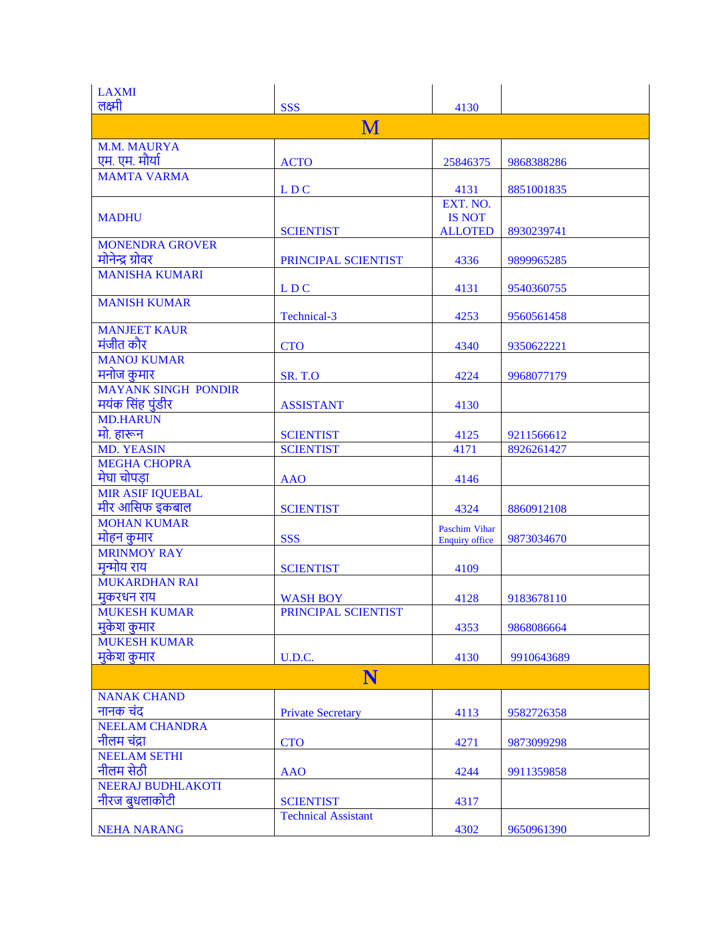| <b>LAXMI</b>                      |                                        |                       |            |
|-----------------------------------|----------------------------------------|-----------------------|------------|
| लक्ष्मी                           | <b>SSS</b>                             | 4130                  |            |
|                                   | M                                      |                       |            |
| <b>M.M. MAURYA</b>                |                                        |                       |            |
| एम. एम. मौर्या                    | <b>ACTO</b>                            | 25846375              | 9868388286 |
| <b>MAMTA VARMA</b>                |                                        |                       |            |
|                                   | LDC                                    | 4131<br>EXT. NO.      | 8851001835 |
| <b>MADHU</b>                      |                                        | <b>IS NOT</b>         |            |
|                                   | <b>SCIENTIST</b>                       | <b>ALLOTED</b>        | 8930239741 |
| <b>MONENDRA GROVER</b>            |                                        |                       |            |
| मोनेन्द्र ग्रोवर                  | PRINCIPAL SCIENTIST                    | 4336                  | 9899965285 |
| <b>MANISHA KUMARI</b>             |                                        |                       |            |
|                                   | LDC                                    | 4131                  | 9540360755 |
| <b>MANISH KUMAR</b>               | Technical-3                            | 4253                  | 9560561458 |
| <b>MANJEET KAUR</b>               |                                        |                       |            |
| मंजीत कौर                         | <b>CTO</b>                             | 4340                  | 9350622221 |
| <b>MANOJ KUMAR</b>                |                                        |                       |            |
| मनोज कुमार                        | <b>SR. T.O</b>                         | 4224                  | 9968077179 |
| <b>MAYANK SINGH PONDIR</b>        |                                        |                       |            |
| मयंक सिंह पुंडीर                  | <b>ASSISTANT</b>                       | 4130                  |            |
| <b>MD.HARUN</b>                   |                                        |                       |            |
| मो. हारून<br><b>MD. YEASIN</b>    | <b>SCIENTIST</b><br><b>SCIENTIST</b>   | 4125<br>4171          | 9211566612 |
| <b>MEGHA CHOPRA</b>               |                                        |                       | 8926261427 |
| मेघा चोपड़ा                       | <b>AAO</b>                             | 4146                  |            |
| <b>MIR ASIF IQUEBAL</b>           |                                        |                       |            |
| मीर आसिफ इकबाल                    | <b>SCIENTIST</b>                       | 4324                  | 8860912108 |
| <b>MOHAN KUMAR</b>                |                                        | Paschim Vihar         |            |
| मोहन कुमार                        | <b>SSS</b>                             | <b>Enquiry office</b> | 9873034670 |
| <b>MRINMOY RAY</b>                |                                        |                       |            |
| मृन्मोय राय                       | <b>SCIENTIST</b>                       | 4109                  |            |
| <b>MUKARDHAN RAI</b>              |                                        |                       |            |
| मुकरधन राय<br><b>MUKESH KUMAR</b> | <b>WASH BOY</b><br>PRINCIPAL SCIENTIST | 4128                  | 9183678110 |
| मुकेश कुमार                       |                                        | 4353                  | 9868086664 |
| <b>MUKESH KUMAR</b>               |                                        |                       |            |
| मुकेश कुमार                       | U.D.C.                                 | 4130                  | 9910643689 |
|                                   | N                                      |                       |            |
| <b>NANAK CHAND</b>                |                                        |                       |            |
| नानक चंद                          | <b>Private Secretary</b>               | 4113                  | 9582726358 |
| <b>NEELAM CHANDRA</b>             |                                        |                       |            |
| नीलम चंद्रा                       | <b>CTO</b>                             | 4271                  | 9873099298 |
| <b>NEELAM SETHI</b>               |                                        |                       |            |
| नीलम सेठी                         | <b>AAO</b>                             | 4244                  | 9911359858 |
| <b>NEERAJ BUDHLAKOTI</b>          |                                        |                       |            |
| नीरज बुधलाकोटी                    | <b>SCIENTIST</b>                       | 4317                  |            |
|                                   | <b>Technical Assistant</b>             |                       |            |
| <b>NEHA NARANG</b>                |                                        | 4302                  | 9650961390 |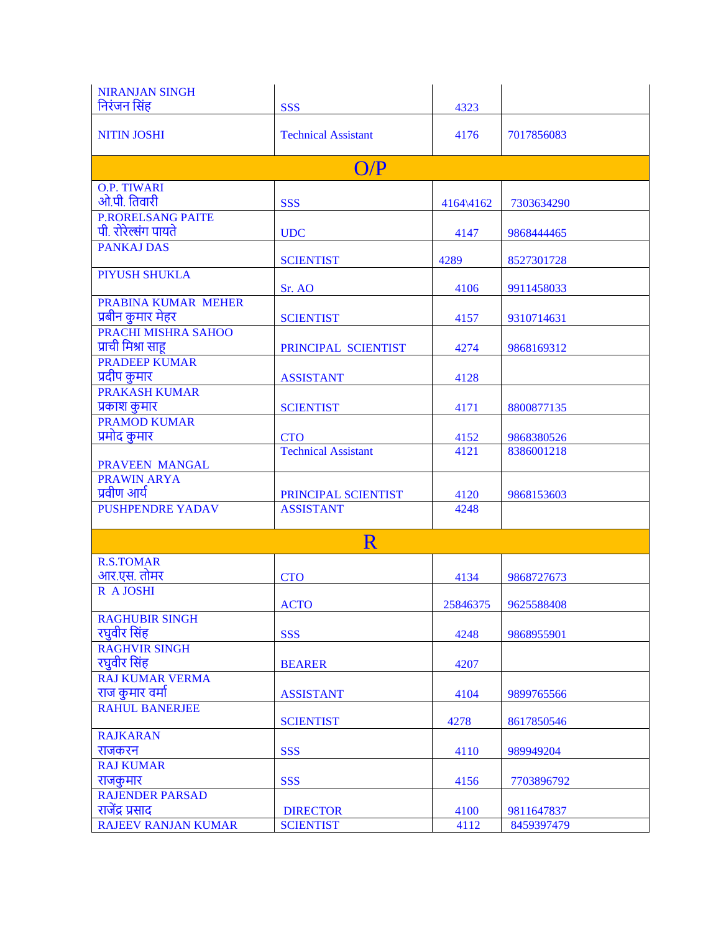| निरंजन सिंह<br><b>SSS</b><br>4323<br><b>NITIN JOSHI</b><br><b>Technical Assistant</b><br>4176<br>7017856083<br>O/P<br><b>O.P. TIWARI</b><br>ओ.पी. तिवारी<br><b>SSS</b><br>4164\4162<br>7303634290<br><b>P.RORELSANG PAITE</b><br>पी. रोरेल्संग पायते<br>4147<br><b>UDC</b><br>9868444465<br><b>PANKAJ DAS</b><br>4289<br><b>SCIENTIST</b><br>8527301728<br>PIYUSH SHUKLA<br>4106<br>Sr. AO<br>9911458033<br>PRABINA KUMAR MEHER<br>प्रबीन कुमार मेहर<br><b>SCIENTIST</b><br>4157<br>9310714631<br><b>PRACHI MISHRA SAHOO</b><br>प्राची मिश्रा साह<br>PRINCIPAL SCIENTIST<br>4274<br>9868169312<br><b>PRADEEP KUMAR</b><br>प्रदीप कुमार<br>4128<br><b>ASSISTANT</b><br><b>PRAKASH KUMAR</b><br>प्रकाश कुमार<br><b>SCIENTIST</b><br>4171<br>8800877135<br><b>PRAMOD KUMAR</b><br>प्रमोद कुमार<br><b>CTO</b><br>4152<br>9868380526<br><b>Technical Assistant</b><br>4121<br>8386001218<br>PRAVEEN MANGAL<br><b>PRAWIN ARYA</b> | <b>NIRANJAN SINGH</b> |  |  |
|-----------------------------------------------------------------------------------------------------------------------------------------------------------------------------------------------------------------------------------------------------------------------------------------------------------------------------------------------------------------------------------------------------------------------------------------------------------------------------------------------------------------------------------------------------------------------------------------------------------------------------------------------------------------------------------------------------------------------------------------------------------------------------------------------------------------------------------------------------------------------------------------------------------------------------|-----------------------|--|--|
|                                                                                                                                                                                                                                                                                                                                                                                                                                                                                                                                                                                                                                                                                                                                                                                                                                                                                                                             |                       |  |  |
|                                                                                                                                                                                                                                                                                                                                                                                                                                                                                                                                                                                                                                                                                                                                                                                                                                                                                                                             |                       |  |  |
|                                                                                                                                                                                                                                                                                                                                                                                                                                                                                                                                                                                                                                                                                                                                                                                                                                                                                                                             |                       |  |  |
|                                                                                                                                                                                                                                                                                                                                                                                                                                                                                                                                                                                                                                                                                                                                                                                                                                                                                                                             |                       |  |  |
|                                                                                                                                                                                                                                                                                                                                                                                                                                                                                                                                                                                                                                                                                                                                                                                                                                                                                                                             |                       |  |  |
|                                                                                                                                                                                                                                                                                                                                                                                                                                                                                                                                                                                                                                                                                                                                                                                                                                                                                                                             |                       |  |  |
|                                                                                                                                                                                                                                                                                                                                                                                                                                                                                                                                                                                                                                                                                                                                                                                                                                                                                                                             |                       |  |  |
|                                                                                                                                                                                                                                                                                                                                                                                                                                                                                                                                                                                                                                                                                                                                                                                                                                                                                                                             |                       |  |  |
|                                                                                                                                                                                                                                                                                                                                                                                                                                                                                                                                                                                                                                                                                                                                                                                                                                                                                                                             |                       |  |  |
|                                                                                                                                                                                                                                                                                                                                                                                                                                                                                                                                                                                                                                                                                                                                                                                                                                                                                                                             |                       |  |  |
|                                                                                                                                                                                                                                                                                                                                                                                                                                                                                                                                                                                                                                                                                                                                                                                                                                                                                                                             |                       |  |  |
|                                                                                                                                                                                                                                                                                                                                                                                                                                                                                                                                                                                                                                                                                                                                                                                                                                                                                                                             |                       |  |  |
|                                                                                                                                                                                                                                                                                                                                                                                                                                                                                                                                                                                                                                                                                                                                                                                                                                                                                                                             |                       |  |  |
|                                                                                                                                                                                                                                                                                                                                                                                                                                                                                                                                                                                                                                                                                                                                                                                                                                                                                                                             |                       |  |  |
|                                                                                                                                                                                                                                                                                                                                                                                                                                                                                                                                                                                                                                                                                                                                                                                                                                                                                                                             |                       |  |  |
|                                                                                                                                                                                                                                                                                                                                                                                                                                                                                                                                                                                                                                                                                                                                                                                                                                                                                                                             |                       |  |  |
|                                                                                                                                                                                                                                                                                                                                                                                                                                                                                                                                                                                                                                                                                                                                                                                                                                                                                                                             |                       |  |  |
|                                                                                                                                                                                                                                                                                                                                                                                                                                                                                                                                                                                                                                                                                                                                                                                                                                                                                                                             |                       |  |  |
|                                                                                                                                                                                                                                                                                                                                                                                                                                                                                                                                                                                                                                                                                                                                                                                                                                                                                                                             |                       |  |  |
|                                                                                                                                                                                                                                                                                                                                                                                                                                                                                                                                                                                                                                                                                                                                                                                                                                                                                                                             |                       |  |  |
|                                                                                                                                                                                                                                                                                                                                                                                                                                                                                                                                                                                                                                                                                                                                                                                                                                                                                                                             |                       |  |  |
|                                                                                                                                                                                                                                                                                                                                                                                                                                                                                                                                                                                                                                                                                                                                                                                                                                                                                                                             |                       |  |  |
| प्रवीण आर्य<br>PRINCIPAL SCIENTIST<br>4120<br>9868153603                                                                                                                                                                                                                                                                                                                                                                                                                                                                                                                                                                                                                                                                                                                                                                                                                                                                    |                       |  |  |
| <b>PUSHPENDRE YADAV</b><br><b>ASSISTANT</b><br>4248                                                                                                                                                                                                                                                                                                                                                                                                                                                                                                                                                                                                                                                                                                                                                                                                                                                                         |                       |  |  |
|                                                                                                                                                                                                                                                                                                                                                                                                                                                                                                                                                                                                                                                                                                                                                                                                                                                                                                                             |                       |  |  |
| R                                                                                                                                                                                                                                                                                                                                                                                                                                                                                                                                                                                                                                                                                                                                                                                                                                                                                                                           |                       |  |  |
| <b>R.S.TOMAR</b>                                                                                                                                                                                                                                                                                                                                                                                                                                                                                                                                                                                                                                                                                                                                                                                                                                                                                                            |                       |  |  |
| आर.एस. तोमर<br><b>CTO</b><br>4134<br>9868727673                                                                                                                                                                                                                                                                                                                                                                                                                                                                                                                                                                                                                                                                                                                                                                                                                                                                             |                       |  |  |
| R A JOSHI                                                                                                                                                                                                                                                                                                                                                                                                                                                                                                                                                                                                                                                                                                                                                                                                                                                                                                                   |                       |  |  |
| <b>ACTO</b><br>25846375<br>9625588408<br><b>RAGHUBIR SINGH</b>                                                                                                                                                                                                                                                                                                                                                                                                                                                                                                                                                                                                                                                                                                                                                                                                                                                              |                       |  |  |
| रघुवीर सिंह<br><b>SSS</b><br>4248<br>9868955901                                                                                                                                                                                                                                                                                                                                                                                                                                                                                                                                                                                                                                                                                                                                                                                                                                                                             |                       |  |  |
| <b>RAGHVIR SINGH</b>                                                                                                                                                                                                                                                                                                                                                                                                                                                                                                                                                                                                                                                                                                                                                                                                                                                                                                        |                       |  |  |
| रघुवीर सिंह<br>4207<br><b>BEARER</b>                                                                                                                                                                                                                                                                                                                                                                                                                                                                                                                                                                                                                                                                                                                                                                                                                                                                                        |                       |  |  |
| <b>RAJ KUMAR VERMA</b>                                                                                                                                                                                                                                                                                                                                                                                                                                                                                                                                                                                                                                                                                                                                                                                                                                                                                                      |                       |  |  |
| राज कुमार वर्मा<br><b>ASSISTANT</b><br>4104<br>9899765566                                                                                                                                                                                                                                                                                                                                                                                                                                                                                                                                                                                                                                                                                                                                                                                                                                                                   |                       |  |  |
| <b>RAHUL BANERJEE</b>                                                                                                                                                                                                                                                                                                                                                                                                                                                                                                                                                                                                                                                                                                                                                                                                                                                                                                       |                       |  |  |
| <b>SCIENTIST</b><br>4278<br>8617850546                                                                                                                                                                                                                                                                                                                                                                                                                                                                                                                                                                                                                                                                                                                                                                                                                                                                                      |                       |  |  |
| <b>RAJKARAN</b>                                                                                                                                                                                                                                                                                                                                                                                                                                                                                                                                                                                                                                                                                                                                                                                                                                                                                                             |                       |  |  |
| राजकरन<br><b>SSS</b><br>4110<br>989949204                                                                                                                                                                                                                                                                                                                                                                                                                                                                                                                                                                                                                                                                                                                                                                                                                                                                                   |                       |  |  |
| <b>RAJ KUMAR</b>                                                                                                                                                                                                                                                                                                                                                                                                                                                                                                                                                                                                                                                                                                                                                                                                                                                                                                            |                       |  |  |
| राजकुमार<br><b>SSS</b><br>4156<br>7703896792<br><b>RAJENDER PARSAD</b>                                                                                                                                                                                                                                                                                                                                                                                                                                                                                                                                                                                                                                                                                                                                                                                                                                                      |                       |  |  |
| राजेंद्र प्रसाद<br><b>DIRECTOR</b><br>9811647837                                                                                                                                                                                                                                                                                                                                                                                                                                                                                                                                                                                                                                                                                                                                                                                                                                                                            |                       |  |  |
| 4100<br><b>RAJEEV RANJAN KUMAR</b><br><b>SCIENTIST</b><br>4112<br>8459397479                                                                                                                                                                                                                                                                                                                                                                                                                                                                                                                                                                                                                                                                                                                                                                                                                                                |                       |  |  |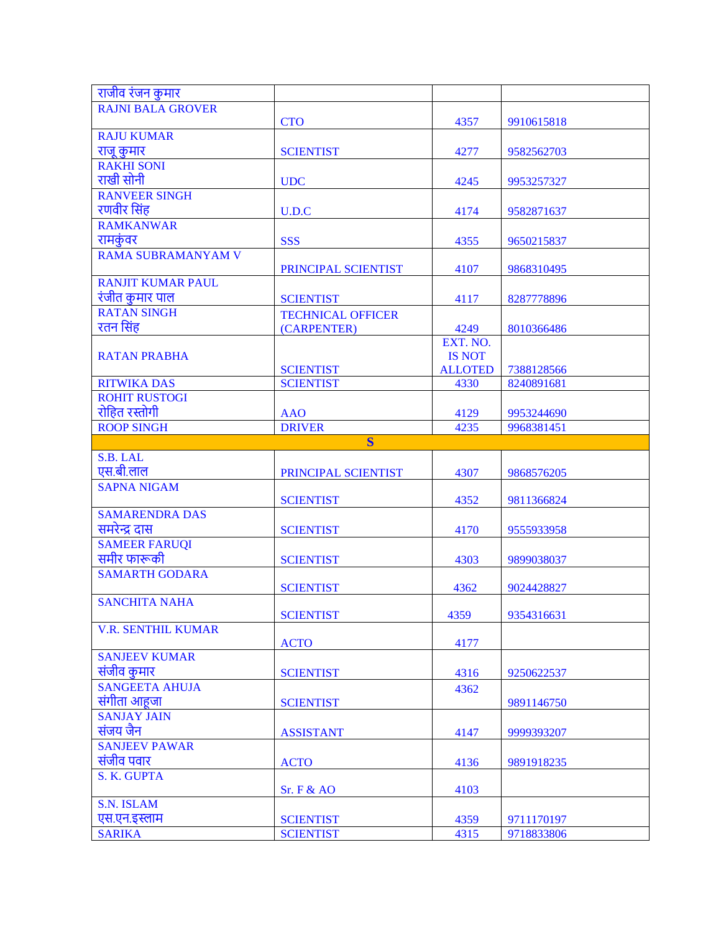| राजीव रंजन कुमार                      |                                          |                |                          |
|---------------------------------------|------------------------------------------|----------------|--------------------------|
| <b>RAJNI BALA GROVER</b>              |                                          |                |                          |
|                                       | <b>CTO</b>                               | 4357           | 9910615818               |
| <b>RAJU KUMAR</b>                     |                                          |                |                          |
| राजू कुमार                            | <b>SCIENTIST</b>                         | 4277           | 9582562703               |
| <b>RAKHI SONI</b>                     |                                          |                |                          |
| राखी सोनी                             | <b>UDC</b>                               | 4245           | 9953257327               |
| <b>RANVEER SINGH</b>                  |                                          |                |                          |
| रणवीर सिंह                            | U.D.C                                    | 4174           | 9582871637               |
| <b>RAMKANWAR</b>                      |                                          |                |                          |
| रामकुंवर                              | <b>SSS</b>                               | 4355           | 9650215837               |
| <b>RAMA SUBRAMANYAM V</b>             |                                          |                |                          |
|                                       | PRINCIPAL SCIENTIST                      | 4107           | 9868310495               |
| <b>RANJIT KUMAR PAUL</b>              |                                          |                |                          |
| रंजीत कुमार पाल                       | <b>SCIENTIST</b>                         | 4117           | 8287778896               |
| <b>RATAN SINGH</b>                    | <b>TECHNICAL OFFICER</b>                 |                |                          |
| रतन सिंह                              | (CARPENTER)                              | 4249           | 8010366486               |
|                                       |                                          | EXT. NO.       |                          |
| <b>RATAN PRABHA</b>                   |                                          | <b>IS NOT</b>  |                          |
|                                       | <b>SCIENTIST</b>                         | <b>ALLOTED</b> | 7388128566               |
| <b>RITWIKA DAS</b>                    | <b>SCIENTIST</b>                         | 4330           | 8240891681               |
| <b>ROHIT RUSTOGI</b><br>रोहित रस्तोगी |                                          |                |                          |
|                                       | <b>AAO</b>                               | 4129           | 9953244690               |
| <b>ROOP SINGH</b>                     | <b>DRIVER</b><br>$\overline{\mathbf{S}}$ | 4235           | 9968381451               |
| S.B. LAL                              |                                          |                |                          |
|                                       |                                          |                |                          |
|                                       |                                          |                |                          |
| एस.बी.लाल                             | PRINCIPAL SCIENTIST                      | 4307           | 9868576205               |
| <b>SAPNA NIGAM</b>                    |                                          |                |                          |
|                                       | <b>SCIENTIST</b>                         | 4352           | 9811366824               |
| <b>SAMARENDRA DAS</b>                 |                                          |                |                          |
| समरेन्द्र दास                         | <b>SCIENTIST</b>                         | 4170           | 9555933958               |
| <b>SAMEER FARUQI</b>                  |                                          |                |                          |
| समीर फारूकी                           | <b>SCIENTIST</b>                         | 4303           | 9899038037               |
| <b>SAMARTH GODARA</b>                 |                                          |                | 9024428827               |
| <b>SANCHITA NAHA</b>                  | <b>SCIENTIST</b>                         | 4362           |                          |
|                                       | <b>SCIENTIST</b>                         | 4359           | 9354316631               |
| <b>V.R. SENTHIL KUMAR</b>             |                                          |                |                          |
|                                       | <b>ACTO</b>                              | 4177           |                          |
| <b>SANJEEV KUMAR</b>                  |                                          |                |                          |
| संजीव कुमार                           | <b>SCIENTIST</b>                         | 4316           | 9250622537               |
| <b>SANGEETA AHUJA</b>                 |                                          | 4362           |                          |
| संगीता आहूजा                          | <b>SCIENTIST</b>                         |                | 9891146750               |
| <b>SANJAY JAIN</b>                    |                                          |                |                          |
| संजय जैन                              | <b>ASSISTANT</b>                         | 4147           | 9999393207               |
| <b>SANJEEV PAWAR</b>                  |                                          |                |                          |
| संजीव पवार                            | <b>ACTO</b>                              | 4136           | 9891918235               |
| S. K. GUPTA                           |                                          |                |                          |
|                                       | Sr. F & AO                               | 4103           |                          |
| <b>S.N. ISLAM</b>                     |                                          |                |                          |
| एस.एन.इस्लाम<br><b>SARIKA</b>         | <b>SCIENTIST</b><br><b>SCIENTIST</b>     | 4359<br>4315   | 9711170197<br>9718833806 |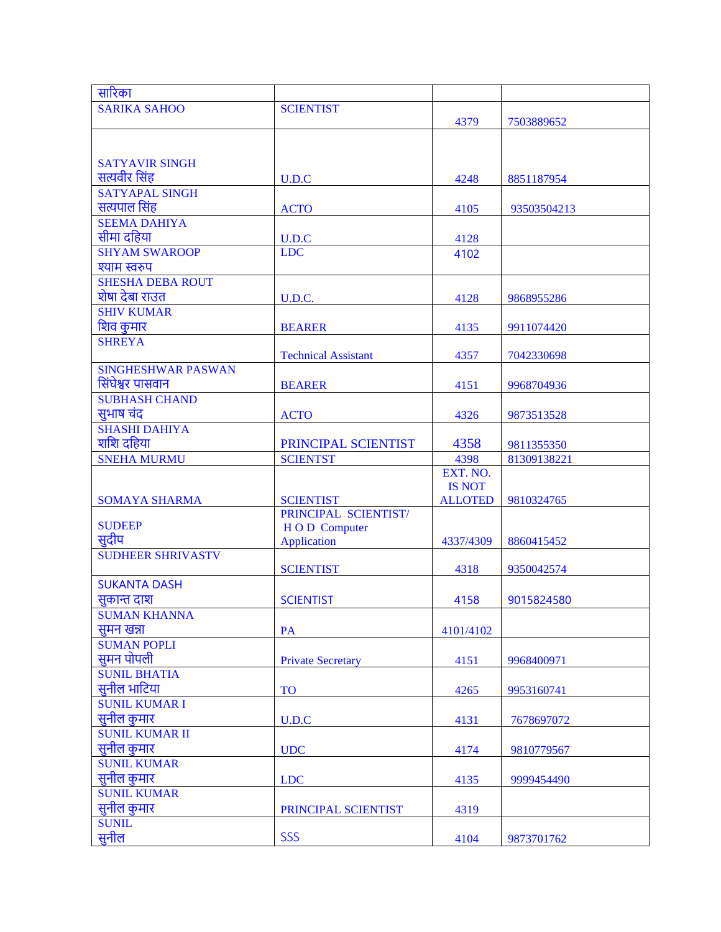| सारिका                    |                                          |                |             |
|---------------------------|------------------------------------------|----------------|-------------|
| <b>SARIKA SAHOO</b>       | <b>SCIENTIST</b>                         |                |             |
|                           |                                          | 4379           | 7503889652  |
|                           |                                          |                |             |
|                           |                                          |                |             |
| <b>SATYAVIR SINGH</b>     |                                          |                |             |
| सत्यवीर सिंह              | U.D.C                                    | 4248           | 8851187954  |
| <b>SATYAPAL SINGH</b>     |                                          |                |             |
| सत्यपाल सिंह              | <b>ACTO</b>                              | 4105           | 93503504213 |
| <b>SEEMA DAHIYA</b>       |                                          |                |             |
| सीमा दहिया                | U.D.C                                    | 4128           |             |
| <b>SHYAM SWAROOP</b>      | <b>LDC</b>                               | 4102           |             |
| श्याम स्वरुप              |                                          |                |             |
| <b>SHESHA DEBA ROUT</b>   |                                          |                |             |
| शेषा देबा राउत            | U.D.C.                                   | 4128           | 9868955286  |
| <b>SHIV KUMAR</b>         |                                          |                |             |
| शिव कुमार                 | <b>BEARER</b>                            | 4135           | 9911074420  |
| <b>SHREYA</b>             |                                          |                |             |
|                           | <b>Technical Assistant</b>               | 4357           | 7042330698  |
| <b>SINGHESHWAR PASWAN</b> |                                          |                |             |
| सिंघेश्वर पासवान          | <b>BEARER</b>                            | 4151           | 9968704936  |
| <b>SUBHASH CHAND</b>      |                                          |                |             |
|                           |                                          |                |             |
| सुभाष चंद                 | <b>ACTO</b>                              | 4326           | 9873513528  |
| <b>SHASHI DAHIYA</b>      |                                          |                |             |
| शशि दहिया                 | PRINCIPAL SCIENTIST                      | 4358           | 9811355350  |
| <b>SNEHA MURMU</b>        | <b>SCIENTST</b>                          | 4398           | 81309138221 |
|                           |                                          | EXT. NO.       |             |
|                           |                                          | <b>IS NOT</b>  |             |
| <b>SOMAYA SHARMA</b>      | <b>SCIENTIST</b><br>PRINCIPAL SCIENTIST/ | <b>ALLOTED</b> | 9810324765  |
| <b>SUDEEP</b>             |                                          |                |             |
| सदीप                      | HOD Computer<br><b>Application</b>       | 4337/4309      |             |
| <b>SUDHEER SHRIVASTV</b>  |                                          |                | 8860415452  |
|                           | <b>SCIENTIST</b>                         | 4318           | 9350042574  |
| <b>SUKANTA DASH</b>       |                                          |                |             |
|                           |                                          |                |             |
| सुकान्त दाश               | <b>SCIENTIST</b>                         | 4158           | 9015824580  |
| <b>SUMAN KHANNA</b>       |                                          |                |             |
| सुमन खन्ना                | PA                                       | 4101/4102      |             |
| <b>SUMAN POPLI</b>        |                                          |                |             |
| सुमन पोपली                | <b>Private Secretary</b>                 | 4151           | 9968400971  |
| <b>SUNIL BHATIA</b>       |                                          |                |             |
| सुनील भाटिया              | <b>TO</b>                                | 4265           | 9953160741  |
| <b>SUNIL KUMAR I</b>      |                                          |                |             |
| सुनील कुमार               | U.D.C                                    | 4131           | 7678697072  |
| <b>SUNIL KUMAR II</b>     |                                          |                |             |
| सुनील कुमार               | <b>UDC</b>                               | 4174           | 9810779567  |
| <b>SUNIL KUMAR</b>        |                                          |                |             |
| सुनील कुमार               | <b>LDC</b>                               | 4135           | 9999454490  |
| <b>SUNIL KUMAR</b>        |                                          |                |             |
| सुनील कुमार               | PRINCIPAL SCIENTIST                      | 4319           |             |
| <b>SUNIL</b>              |                                          |                |             |
| सुनील                     | <b>SSS</b>                               | 4104           | 9873701762  |